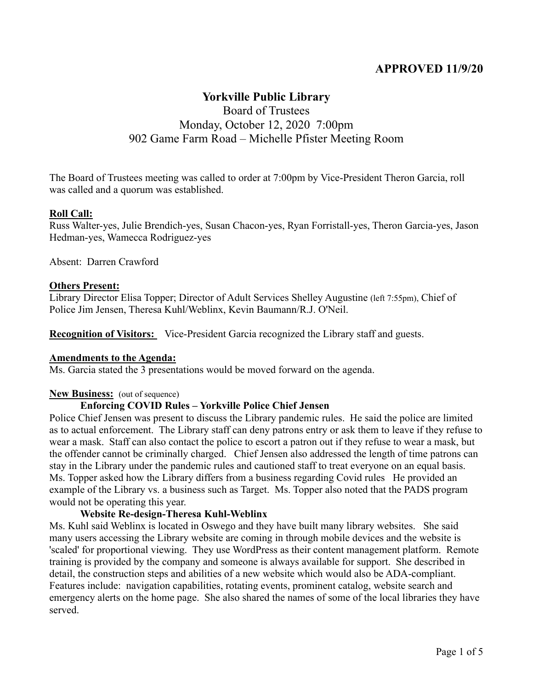# **APPROVED 11/9/20**

# **Yorkville Public Library** Board of Trustees Monday, October 12, 2020 7:00pm

# 902 Game Farm Road – Michelle Pfister Meeting Room

The Board of Trustees meeting was called to order at 7:00pm by Vice-President Theron Garcia, roll was called and a quorum was established.

#### **Roll Call:**

Russ Walter-yes, Julie Brendich-yes, Susan Chacon-yes, Ryan Forristall-yes, Theron Garcia-yes, Jason Hedman-yes, Wamecca Rodriguez-yes

Absent: Darren Crawford

#### **Others Present:**

Library Director Elisa Topper; Director of Adult Services Shelley Augustine (left 7:55pm), Chief of Police Jim Jensen, Theresa Kuhl/Weblinx, Kevin Baumann/R.J. O'Neil.

**Recognition of Visitors:** Vice-President Garcia recognized the Library staff and guests.

#### **Amendments to the Agenda:**

Ms. Garcia stated the 3 presentations would be moved forward on the agenda.

#### **New Business:** (out of sequence)

#### **Enforcing COVID Rules – Yorkville Police Chief Jensen**

Police Chief Jensen was present to discuss the Library pandemic rules. He said the police are limited as to actual enforcement. The Library staff can deny patrons entry or ask them to leave if they refuse to wear a mask. Staff can also contact the police to escort a patron out if they refuse to wear a mask, but the offender cannot be criminally charged. Chief Jensen also addressed the length of time patrons can stay in the Library under the pandemic rules and cautioned staff to treat everyone on an equal basis. Ms. Topper asked how the Library differs from a business regarding Covid rules He provided an example of the Library vs. a business such as Target. Ms. Topper also noted that the PADS program would not be operating this year.

#### **Website Re-design-Theresa Kuhl-Weblinx**

Ms. Kuhl said Weblinx is located in Oswego and they have built many library websites. She said many users accessing the Library website are coming in through mobile devices and the website is 'scaled' for proportional viewing. They use WordPress as their content management platform. Remote training is provided by the company and someone is always available for support. She described in detail, the construction steps and abilities of a new website which would also be ADA-compliant. Features include: navigation capabilities, rotating events, prominent catalog, website search and emergency alerts on the home page. She also shared the names of some of the local libraries they have served.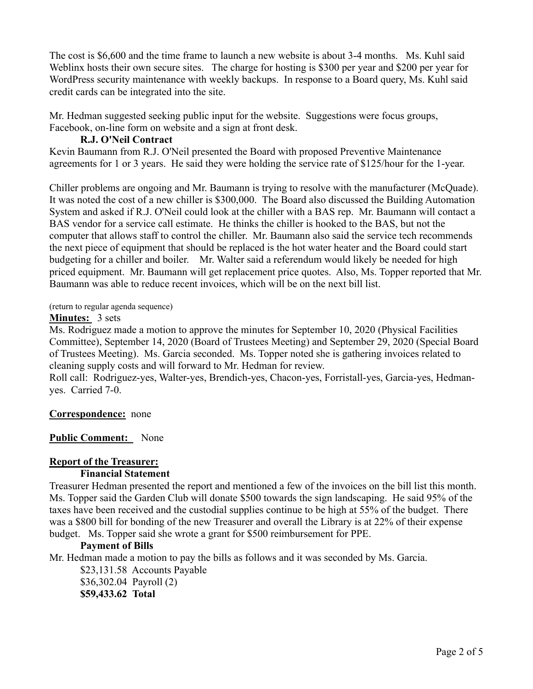The cost is \$6,600 and the time frame to launch a new website is about 3-4 months. Ms. Kuhl said Weblinx hosts their own secure sites. The charge for hosting is \$300 per year and \$200 per year for WordPress security maintenance with weekly backups. In response to a Board query, Ms. Kuhl said credit cards can be integrated into the site.

Mr. Hedman suggested seeking public input for the website. Suggestions were focus groups, Facebook, on-line form on website and a sign at front desk.

# **R.J. O'Neil Contract**

Kevin Baumann from R.J. O'Neil presented the Board with proposed Preventive Maintenance agreements for 1 or 3 years. He said they were holding the service rate of \$125/hour for the 1-year.

Chiller problems are ongoing and Mr. Baumann is trying to resolve with the manufacturer (McQuade). It was noted the cost of a new chiller is \$300,000. The Board also discussed the Building Automation System and asked if R.J. O'Neil could look at the chiller with a BAS rep. Mr. Baumann will contact a BAS vendor for a service call estimate. He thinks the chiller is hooked to the BAS, but not the computer that allows staff to control the chiller. Mr. Baumann also said the service tech recommends the next piece of equipment that should be replaced is the hot water heater and the Board could start budgeting for a chiller and boiler. Mr. Walter said a referendum would likely be needed for high priced equipment. Mr. Baumann will get replacement price quotes. Also, Ms. Topper reported that Mr. Baumann was able to reduce recent invoices, which will be on the next bill list.

(return to regular agenda sequence)

#### **Minutes:** 3 sets

Ms. Rodriguez made a motion to approve the minutes for September 10, 2020 (Physical Facilities Committee), September 14, 2020 (Board of Trustees Meeting) and September 29, 2020 (Special Board of Trustees Meeting). Ms. Garcia seconded. Ms. Topper noted she is gathering invoices related to cleaning supply costs and will forward to Mr. Hedman for review.

Roll call: Rodriguez-yes, Walter-yes, Brendich-yes, Chacon-yes, Forristall-yes, Garcia-yes, Hedmanyes. Carried 7-0.

**Correspondence:**none

# **Public Comment:** None

# **Report of the Treasurer:**

# **Financial Statement**

Treasurer Hedman presented the report and mentioned a few of the invoices on the bill list this month. Ms. Topper said the Garden Club will donate \$500 towards the sign landscaping. He said 95% of the taxes have been received and the custodial supplies continue to be high at 55% of the budget. There was a \$800 bill for bonding of the new Treasurer and overall the Library is at 22% of their expense budget. Ms. Topper said she wrote a grant for \$500 reimbursement for PPE.

# **Payment of Bills**

Mr. Hedman made a motion to pay the bills as follows and it was seconded by Ms. Garcia.

 \$23,131.58 Accounts Payable \$36,302.04 Payroll (2) **\$59,433.62 Total**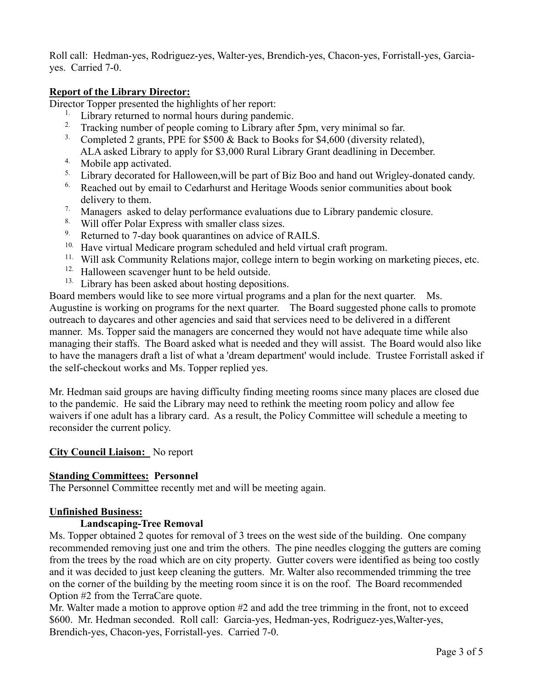Roll call: Hedman-yes, Rodriguez-yes, Walter-yes, Brendich-yes, Chacon-yes, Forristall-yes, Garciayes. Carried 7-0.

# **Report of the Library Director:**

Director Topper presented the highlights of her report:

- $1.$  Library returned to normal hours during pandemic.
- <sup>2.</sup> Tracking number of people coming to Library after 5pm, very minimal so far.
- <sup>3.</sup> Completed 2 grants, PPE for \$500  $\&$  Back to Books for \$4,600 (diversity related), ALA asked Library to apply for \$3,000 Rural Library Grant deadlining in December.
- 4. Mobile app activated.
- <sup>5.</sup> Library decorated for Halloween, will be part of Biz Boo and hand out Wrigley-donated candy.
- <sup>6.</sup> Reached out by email to Cedarhurst and Heritage Woods senior communities about book delivery to them.
- <sup>7.</sup> Managers asked to delay performance evaluations due to Library pandemic closure.
- <sup>8</sup> Will offer Polar Express with smaller class sizes.<br><sup>9</sup> Returned to 7-day book quarantines on advice of
- Returned to 7-day book quarantines on advice of RAILS.
- <sup>10.</sup> Have virtual Medicare program scheduled and held virtual craft program.
- <sup>11.</sup> Will ask Community Relations major, college intern to begin working on marketing pieces, etc.
- <sup>12.</sup> Halloween scavenger hunt to be held outside.
- <sup>13.</sup> Library has been asked about hosting depositions.

Board members would like to see more virtual programs and a plan for the next quarter. Ms. Augustine is working on programs for the next quarter. The Board suggested phone calls to promote outreach to daycares and other agencies and said that services need to be delivered in a different manner. Ms. Topper said the managers are concerned they would not have adequate time while also managing their staffs. The Board asked what is needed and they will assist. The Board would also like to have the managers draft a list of what a 'dream department' would include. Trustee Forristall asked if the self-checkout works and Ms. Topper replied yes.

Mr. Hedman said groups are having difficulty finding meeting rooms since many places are closed due to the pandemic. He said the Library may need to rethink the meeting room policy and allow fee waivers if one adult has a library card. As a result, the Policy Committee will schedule a meeting to reconsider the current policy.

#### **City Council Liaison:** No report

#### **Standing Committees: Personnel**

The Personnel Committee recently met and will be meeting again.

#### **Unfinished Business:**

#### **Landscaping-Tree Removal**

Ms. Topper obtained 2 quotes for removal of 3 trees on the west side of the building. One company recommended removing just one and trim the others. The pine needles clogging the gutters are coming from the trees by the road which are on city property. Gutter covers were identified as being too costly and it was decided to just keep cleaning the gutters. Mr. Walter also recommended trimming the tree on the corner of the building by the meeting room since it is on the roof. The Board recommended Option #2 from the TerraCare quote.

Mr. Walter made a motion to approve option #2 and add the tree trimming in the front, not to exceed \$600. Mr. Hedman seconded. Roll call: Garcia-yes, Hedman-yes, Rodriguez-yes, Walter-yes, Brendich-yes, Chacon-yes, Forristall-yes. Carried 7-0.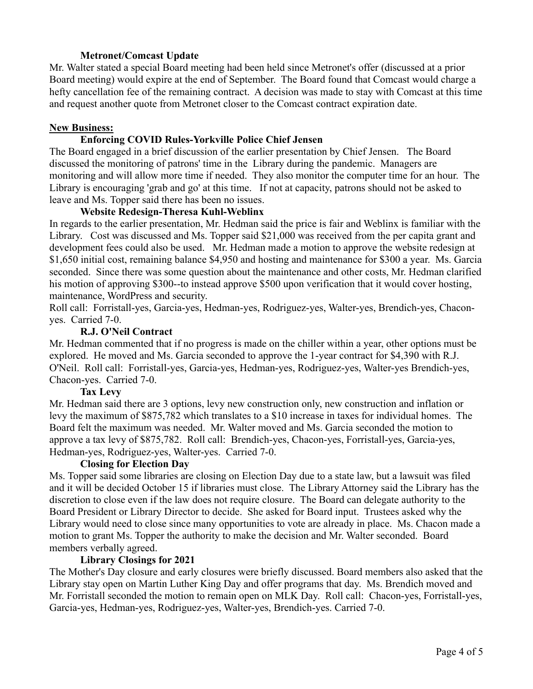# **Metronet/Comcast Update**

Mr. Walter stated a special Board meeting had been held since Metronet's offer (discussed at a prior Board meeting) would expire at the end of September. The Board found that Comcast would charge a hefty cancellation fee of the remaining contract. A decision was made to stay with Comcast at this time and request another quote from Metronet closer to the Comcast contract expiration date.

### **New Business:**

# **Enforcing COVID Rules-Yorkville Police Chief Jensen**

The Board engaged in a brief discussion of the earlier presentation by Chief Jensen. The Board discussed the monitoring of patrons' time in the Library during the pandemic. Managers are monitoring and will allow more time if needed. They also monitor the computer time for an hour. The Library is encouraging 'grab and go' at this time. If not at capacity, patrons should not be asked to leave and Ms. Topper said there has been no issues.

# **Website Redesign-Theresa Kuhl-Weblinx**

In regards to the earlier presentation, Mr. Hedman said the price is fair and Weblinx is familiar with the Library. Cost was discussed and Ms. Topper said \$21,000 was received from the per capita grant and development fees could also be used. Mr. Hedman made a motion to approve the website redesign at \$1,650 initial cost, remaining balance \$4,950 and hosting and maintenance for \$300 a year. Ms. Garcia seconded. Since there was some question about the maintenance and other costs, Mr. Hedman clarified his motion of approving \$300--to instead approve \$500 upon verification that it would cover hosting, maintenance, WordPress and security.

Roll call: Forristall-yes, Garcia-yes, Hedman-yes, Rodriguez-yes, Walter-yes, Brendich-yes, Chaconyes. Carried 7-0.

# **R.J. O'Neil Contract**

Mr. Hedman commented that if no progress is made on the chiller within a year, other options must be explored. He moved and Ms. Garcia seconded to approve the 1-year contract for \$4,390 with R.J. O'Neil. Roll call: Forristall-yes, Garcia-yes, Hedman-yes, Rodriguez-yes, Walter-yes Brendich-yes, Chacon-yes. Carried 7-0.

#### **Tax Levy**

Mr. Hedman said there are 3 options, levy new construction only, new construction and inflation or levy the maximum of \$875,782 which translates to a \$10 increase in taxes for individual homes. The Board felt the maximum was needed. Mr. Walter moved and Ms. Garcia seconded the motion to approve a tax levy of \$875,782. Roll call: Brendich-yes, Chacon-yes, Forristall-yes, Garcia-yes, Hedman-yes, Rodriguez-yes, Walter-yes. Carried 7-0.

#### **Closing for Election Day**

Ms. Topper said some libraries are closing on Election Day due to a state law, but a lawsuit was filed and it will be decided October 15 if libraries must close. The Library Attorney said the Library has the discretion to close even if the law does not require closure. The Board can delegate authority to the Board President or Library Director to decide. She asked for Board input. Trustees asked why the Library would need to close since many opportunities to vote are already in place. Ms. Chacon made a motion to grant Ms. Topper the authority to make the decision and Mr. Walter seconded. Board members verbally agreed.

#### **Library Closings for 2021**

The Mother's Day closure and early closures were briefly discussed. Board members also asked that the Library stay open on Martin Luther King Day and offer programs that day. Ms. Brendich moved and Mr. Forristall seconded the motion to remain open on MLK Day. Roll call: Chacon-yes, Forristall-yes, Garcia-yes, Hedman-yes, Rodriguez-yes, Walter-yes, Brendich-yes. Carried 7-0.